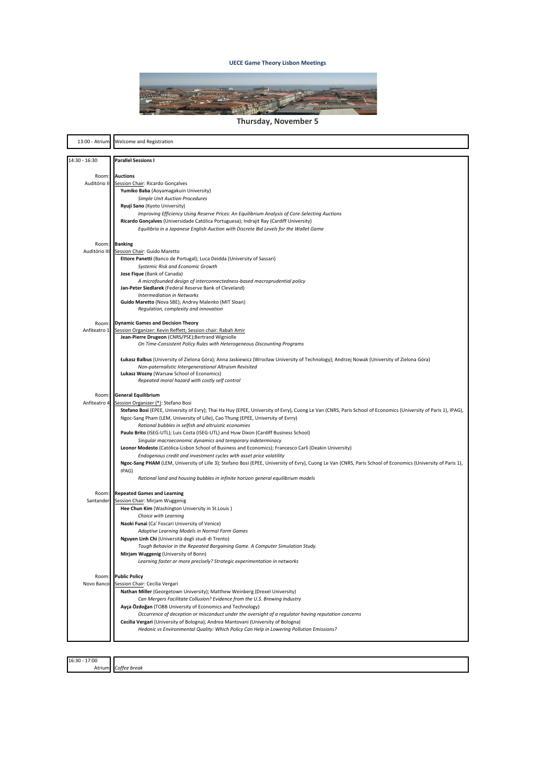

**Thursday, November 5** 

| 13:00 - Atrium      | Welcome and Registration                                                                                                                                                                                                                           |
|---------------------|----------------------------------------------------------------------------------------------------------------------------------------------------------------------------------------------------------------------------------------------------|
| 14:30 - 16:30       | <b>Parallel Sessions I</b>                                                                                                                                                                                                                         |
| Room:               | <b>Auctions</b>                                                                                                                                                                                                                                    |
| Auditório II        | Session Chair: Ricardo Gonçalves                                                                                                                                                                                                                   |
|                     | Yumiko Baba (Aoyamagakuin University)                                                                                                                                                                                                              |
|                     | <b>Simple Unit Auction Procedures</b>                                                                                                                                                                                                              |
|                     | Ryuji Sano (Kyoto University)<br>Improving Efficiency Using Reserve Prices: An Equilibrium Analysis of Core-Selecting Auctions                                                                                                                     |
|                     | Ricardo Gonçalves (Universidade Católica Portuguesa); Indrajit Ray (Cardiff University)                                                                                                                                                            |
|                     | Equilibria in a Japanese English Auction with Discrete Bid Levels for the Wallet Game                                                                                                                                                              |
|                     |                                                                                                                                                                                                                                                    |
| Room:               | <b>Banking</b>                                                                                                                                                                                                                                     |
| Auditório III       | Session Chair: Guido Maretto<br>Ettore Panetti (Banco de Portugal); Luca Deidda (University of Sassari)                                                                                                                                            |
|                     | Systemic Risk and Economic Growth                                                                                                                                                                                                                  |
|                     | Jose Fique (Bank of Canada)                                                                                                                                                                                                                        |
|                     | A microfounded design of interconnectedness-based macroprudential policy                                                                                                                                                                           |
|                     | Jan-Peter Siedlarek (Federal Reserve Bank of Cleveland)<br><b>Intermediation in Networks</b>                                                                                                                                                       |
|                     | Guido Maretto (Nova SBE); Andrey Malenko (MIT Sloan)                                                                                                                                                                                               |
|                     | Regulation, complexity and innovation                                                                                                                                                                                                              |
| Room:               | <b>Dynamic Games and Decision Theory</b>                                                                                                                                                                                                           |
| Anfiteatro 1        | Session Organizer: Kevin Reffett; Session chair: Rabah Amir                                                                                                                                                                                        |
|                     | Jean-Pierre Drugeon (CNRS/PSE); Bertrand Wigniolle                                                                                                                                                                                                 |
|                     | On Time-Consistent Policy Rules with Heterogeneous Discounting Programs                                                                                                                                                                            |
|                     | Łukasz Balbus (University of Zielona Góra); Anna Jaskiewicz (Wrocław University of Technology); Andrzej Nowak (University of Zielona Góra)                                                                                                         |
|                     | Non-paternalistic Intergenerational Altruism Revisited                                                                                                                                                                                             |
|                     | Lukasz Wozny (Warsaw School of Economics)                                                                                                                                                                                                          |
|                     | Repeated moral hazard with costly self control                                                                                                                                                                                                     |
| Room:               | <b>General Equilibrium</b>                                                                                                                                                                                                                         |
| Anfiteatro 4        | Session Organizer (*): Stefano Bosi                                                                                                                                                                                                                |
|                     | Stefano Bosi (EPEE, University of Evry); Thai Ha Huy (EPEE, University of Evry), Cuong Le Van (CNRS, Paris School of Economics (University of Paris 1), IPAG),<br>Ngoc-Sang Pham (LEM, University of Lille), Cao Thung (EPEE, University of Evrry) |
|                     | Rational bubbles in selfish and altruistic economies                                                                                                                                                                                               |
|                     | Paulo Brito (ISEG-UTL); Luis Costa (ISEG-UTL) and Huw Dixon (Cardiff Business School)                                                                                                                                                              |
|                     | Singular macroeconomic dynamics and temporary indeterminacy                                                                                                                                                                                        |
|                     | Leonor Modesto (Católica-Lisbon School of Business and Economics); Francesco Carli (Deakin University)                                                                                                                                             |
|                     | Endogenous credit and investment cycles with asset price volatility<br>Ngoc-Sang PHAM (LEM, University of Lille 3); Stefano Bosi (EPEE, University of Evry), Cuong Le Van (CNRS, Paris School of Economics (University of Paris 1),                |
|                     | IPAG)                                                                                                                                                                                                                                              |
|                     | Rational land and housing bubbles in infinite horizon general equilibrium models                                                                                                                                                                   |
|                     |                                                                                                                                                                                                                                                    |
| Room:<br>Santander  | <b>Repeated Games and Learning</b><br>Session Chair: Mirjam Wuggenig                                                                                                                                                                               |
|                     | Hee Chun Kim (Washington University in St.Louis)                                                                                                                                                                                                   |
|                     | Choice with Learning                                                                                                                                                                                                                               |
|                     | Naoki Funai (Ca' Foscari University of Venice)                                                                                                                                                                                                     |
|                     | Adaptive Learning Models in Normal Form Games                                                                                                                                                                                                      |
|                     | Nguyen Linh Chi (Università degli studi di Trento)<br>Tough Behavior in the Repeated Bargaining Game. A Computer Simulation Study.                                                                                                                 |
|                     | Mirjam Wuggenig (University of Bonn)                                                                                                                                                                                                               |
|                     | Learning faster or more precisely? Strategic experimentation in networks                                                                                                                                                                           |
|                     |                                                                                                                                                                                                                                                    |
| Room:<br>Novo Banco | <b>Public Policy</b>                                                                                                                                                                                                                               |
|                     | Session Chair: Cecilia Vergari<br>Nathan Miller (Georgetown University); Matthew Weinberg (Drexel University)                                                                                                                                      |
|                     | Can Mergers Facilitate Collusion? Evidence from the U.S. Brewing Industry                                                                                                                                                                          |
|                     | Ayça Özdoğan (TOBB University of Economics and Technology)                                                                                                                                                                                         |
|                     | Occurrence of deception or misconduct under the oversight of a regulator having reputation concerns                                                                                                                                                |
|                     | Cecilia Vergari (University of Bologna); Andrea Mantovani (University of Bologna)                                                                                                                                                                  |
|                     | Hedonic vs Environmental Quality: Which Policy Can Help in Lowering Pollution Emissions?                                                                                                                                                           |
|                     |                                                                                                                                                                                                                                                    |

16:30 - 17:00<br>Atriu Atrium *Coffee'break*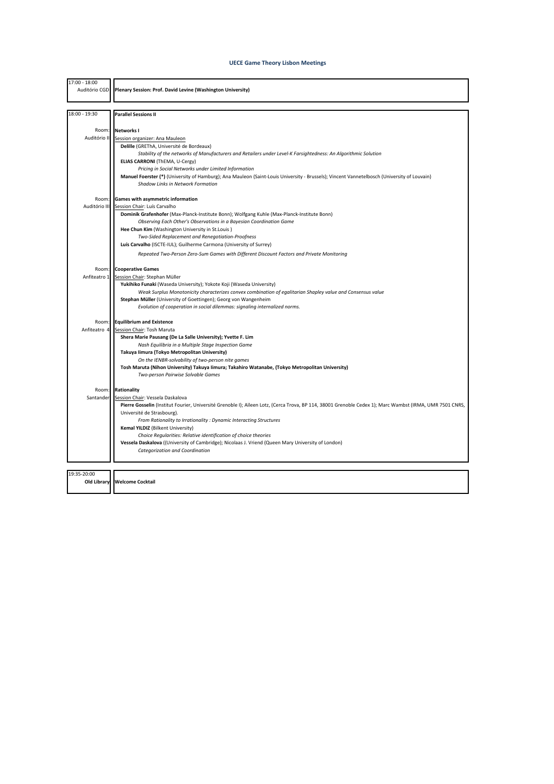| 17:00 - 18:00<br>Auditório CGD | Plenary Session: Prof. David Levine (Washington University)                                                                                                                      |
|--------------------------------|----------------------------------------------------------------------------------------------------------------------------------------------------------------------------------|
| 18:00 - 19:30                  | <b>Parallel Sessions II</b>                                                                                                                                                      |
|                                |                                                                                                                                                                                  |
| Room:                          | <b>Networks I</b>                                                                                                                                                                |
| Auditório II                   | Session organizer: Ana Mauleon                                                                                                                                                   |
|                                | Delille (GREThA, Université de Bordeaux)                                                                                                                                         |
|                                | Stability of the networks of Manufacturers and Retailers under Level-K Farsightedness: An Algorithmic Solution                                                                   |
|                                | ELIAS CARRONI (ThEMA, U-Cergy)                                                                                                                                                   |
|                                | Pricing in Social Networks under Limited Information                                                                                                                             |
|                                | Manuel Foerster (*) (University of Hamburg); Ana Mauleon (Saint-Louis University - Brussels); Vincent Vannetelbosch (University of Louvain)<br>Shadow Links in Network Formation |
| Room:                          | <b>Games with asymmetric information</b>                                                                                                                                         |
| Auditório III                  | Session Chair: Luís Carvalho                                                                                                                                                     |
|                                | Dominik Grafenhofer (Max-Planck-Institute Bonn); Wolfgang Kuhle (Max-Planck-Institute Bonn)                                                                                      |
|                                | Observing Each Other's Observations in a Bayesian Coordination Game                                                                                                              |
|                                | Hee Chun Kim (Washington University in St.Louis)                                                                                                                                 |
|                                | Two-Sided Replacement and Renegotiation-Proofness                                                                                                                                |
|                                | Luís Carvalho (ISCTE-IUL); Guilherme Carmona (University of Surrey)                                                                                                              |
|                                | Repeated Two-Person Zero-Sum Games with Different Discount Factors and Private Monitoring                                                                                        |
| Room:                          | <b>Cooperative Games</b>                                                                                                                                                         |
| Anfiteatro 1                   | Session Chair: Stephan Müller                                                                                                                                                    |
|                                | Yukihiko Funaki (Waseda University); Yokote Koji (Waseda University)                                                                                                             |
|                                | Weak Surplus Monotonicity characterizes convex combination of egalitarian Shapley value and Consensus value                                                                      |
|                                | Stephan Müller (University of Goettingen); Georg von Wangenheim                                                                                                                  |
|                                | Evolution of cooperation in social dilemmas: signaling internalized norms.                                                                                                       |
| Room:                          | <b>Equilibrium and Existence</b>                                                                                                                                                 |
| Anfiteatro 4                   | Session Chair: Tosh Maruta                                                                                                                                                       |
|                                | Shera Marie Pausang (De La Salle University); Yvette F. Lim                                                                                                                      |
|                                | Nash Equilibria in a Multiple Stage Inspection Game                                                                                                                              |
|                                | Takuya Iimura (Tokyo Metropolitan University)                                                                                                                                    |
|                                | On the IENBR-solvability of two-person nite games<br>Tosh Maruta (Nihon University) Takuya Iimura; Takahiro Watanabe, (Tokyo Metropolitan University)                            |
|                                | Two-person Pairwise Solvable Games                                                                                                                                               |
| Room:                          | Rationality                                                                                                                                                                      |
| Santander                      | Session Chair: Vessela Daskalova                                                                                                                                                 |
|                                | Pierre Gosselin (Institut Fourier, Université Grenoble I); Aïleen Lotz, (Cerca Trova, BP 114, 38001 Grenoble Cedex 1); Marc Wambst (IRMA, UMR 7501 CNRS,                         |
|                                | Université de Strasbourg).                                                                                                                                                       |
|                                | From Rationality to Irrationality : Dynamic Interacting Structures                                                                                                               |
|                                | Kemal YILDIZ (Bilkent University)                                                                                                                                                |
|                                | Choice Regularities: Relative identification of choice theories                                                                                                                  |
|                                | Vessela Daskalova ((University of Cambridge); Nicolaas J. Vriend (Queen Mary University of London)                                                                               |
|                                | Categorization and Coordination                                                                                                                                                  |
| 19:35-20:00                    |                                                                                                                                                                                  |
| Old Library                    | <b>Welcome Cocktail</b>                                                                                                                                                          |
|                                |                                                                                                                                                                                  |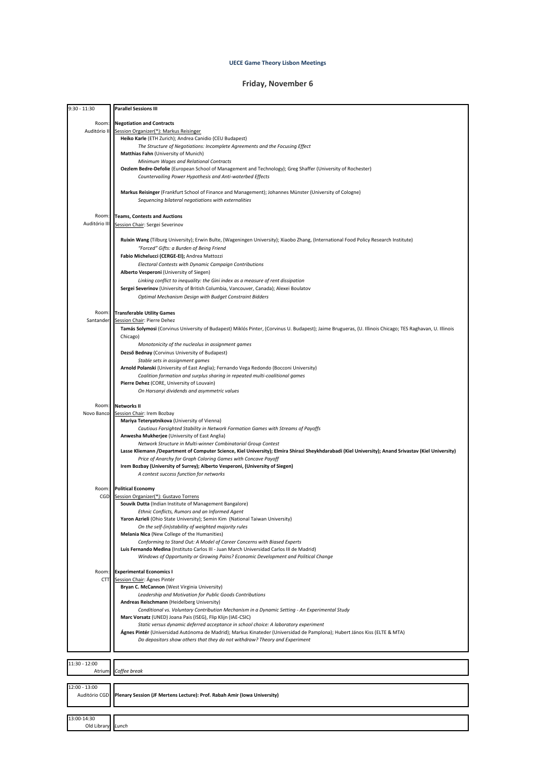# **Friday, November 6**

| 9:30 - 11:30  | <b>Parallel Sessions III</b>                                                                                                                             |
|---------------|----------------------------------------------------------------------------------------------------------------------------------------------------------|
|               |                                                                                                                                                          |
| Room:         | <b>Negotiation and Contracts</b>                                                                                                                         |
| Auditório II  | Session Organizer(*): Markus Reisinger                                                                                                                   |
|               | Heiko Karle (ETH Zurich); Andrea Canidio (CEU Budapest)                                                                                                  |
|               | The Structure of Negotiations: Incomplete Agreements and the Focusing Effect                                                                             |
|               | <b>Matthias Fahn</b> (University of Munich)                                                                                                              |
|               | Minimum Wages and Relational Contracts                                                                                                                   |
|               | Oezlem Bedre-Defolie (European School of Management and Technology); Greg Shaffer (University of Rochester)                                              |
|               | Countervailing Power Hypothesis and Anti-waterbed Effects                                                                                                |
|               |                                                                                                                                                          |
|               | Markus Reisinger (Frankfurt School of Finance and Management); Johannes Münster (University of Cologne)                                                  |
|               | Sequencing bilateral negotiations with externalities                                                                                                     |
|               |                                                                                                                                                          |
| Room          | <b>Teams, Contests and Auctions</b>                                                                                                                      |
| Auditório III | Session Chair: Sergei Severinov                                                                                                                          |
|               |                                                                                                                                                          |
|               | Ruixin Wang (Tilburg University); Erwin Bulte, (Wageningen University); Xiaobo Zhang, (International Food Policy Research Institute)                     |
|               | "Forced" Gifts: a Burden of Being Friend                                                                                                                 |
|               | Fabio Michelucci (CERGE-EI); Andrea Mattozzi                                                                                                             |
|               | Electoral Contests with Dynamic Campaign Contributions                                                                                                   |
|               | Alberto Vesperoni (University of Siegen)                                                                                                                 |
|               | Linking conflict to inequality: the Gini index as a measure of rent dissipation                                                                          |
|               | Sergei Severinov (University of British Columbia, Vancouver, Canada); Alexei Boulatov                                                                    |
|               | Optimal Mechanism Design with Budget Constraint Bidders                                                                                                  |
|               |                                                                                                                                                          |
| Room:         | <b>Transferable Utility Games</b>                                                                                                                        |
| Santander     | Session Chair: Pierre Dehez                                                                                                                              |
|               | Tamás Solymosi (Corvinus University of Budapest) Miklós Pinter, (Corvinus U. Budapest); Jaime Brugueras, (U. Illinois Chicago; TES Raghavan, U. Illinois |
|               | Chicago)                                                                                                                                                 |
|               | Monotonicity of the nucleolus in assignment games                                                                                                        |
|               | Dezső Bednay (Corvinus University of Budapest)                                                                                                           |
|               | Stable sets in assignment games                                                                                                                          |
|               | Arnold Polanski (University of East Anglia); Fernando Vega Redondo (Bocconi University)                                                                  |
|               | Coalition formation and surplus sharing in repeated multi-coalitional games                                                                              |
|               | Pierre Dehez (CORE, University of Louvain)                                                                                                               |
|               | On Harsanyi dividends and asymmetric values                                                                                                              |
| Room:         | <b>Networks II</b>                                                                                                                                       |
| Novo Banco    | Session Chair: Irem Bozbay                                                                                                                               |
|               | Mariya Teteryatnikova (University of Vienna)                                                                                                             |
|               | Cautious Farsighted Stability in Network Formation Games with Streams of Payoffs                                                                         |
|               | Anwesha Mukherjee (University of East Anglia)                                                                                                            |
|               | Network Structure in Multi-winner Combinatorial Group Contest                                                                                            |
|               | Lasse Kliemann /Department of Computer Science, Kiel University); Elmira Shirazi Sheykhdarabadi (Kiel University); Anand Srivastav (Kiel University)     |
|               | Price of Anarchy for Graph Coloring Games with Concave Payoff                                                                                            |
|               | Irem Bozbay (University of Surrey); Alberto Vesperoni, (University of Siegen)                                                                            |
|               | A contest success function for networks                                                                                                                  |
| Room:         | <b>Political Economy</b>                                                                                                                                 |
| CGD           | Session Organizer(*): Gustavo Torrens                                                                                                                    |
|               | Souvik Dutta (Indian Institute of Management Bangalore)                                                                                                  |
|               | Ethnic Conflicts, Rumors and an Informed Agent                                                                                                           |
|               | Yaron Azrieli (Ohio State University); Semin Kim (National Taiwan University)                                                                            |
|               | On the self-(in)stability of weighted majority rules                                                                                                     |
|               | Melania Nica (New College of the Humanities)                                                                                                             |
|               | Conforming to Stand Out: A Model of Career Concerns with Biased Experts                                                                                  |
|               | Luis Fernando Medina (Instituto Carlos III - Juan March Universidad Carlos III de Madrid)                                                                |
|               | Windows of Opportunity or Growing Pains? Economic Development and Political Change                                                                       |
| Room:         | <b>Experimental Economics I</b>                                                                                                                          |
| <b>CTT</b>    | Session Chair: Ágnes Pintér                                                                                                                              |
|               | Bryan C. McCannon (West Virginia University)                                                                                                             |
|               | Leadership and Motivation for Public Goods Contributions                                                                                                 |
|               | Andreas Reischmann (Heidelberg University)                                                                                                               |
|               | Conditional vs. Voluntary Contribution Mechanism in a Dynamic Setting - An Experimental Study                                                            |
|               | Marc Vorsatz (UNED) Joana Pais (ISEG), Flip Klijn (IAE-CSIC)                                                                                             |
|               | Static versus dynamic deferred acceptance in school choice: A laboratory experiment                                                                      |
|               | Ágnes Pintér (Universidad Autónoma de Madrid); Markus Kinateder (Universidad de Pamplona); Hubert János Kiss (ELTE & MTA)                                |
|               | Do depositors show others that they do not withdraw? Theory and Experiment                                                                               |
|               |                                                                                                                                                          |
| 11:30 - 12:00 |                                                                                                                                                          |
| Atrium        | Coffee break                                                                                                                                             |
|               |                                                                                                                                                          |
| 12:00 - 13:00 |                                                                                                                                                          |
| Auditório CGD | Plenary Session (JF Mertens Lecture): Prof. Rabah Amir (Iowa University)                                                                                 |
|               |                                                                                                                                                          |
| 13:00-14:30   |                                                                                                                                                          |
| Old Library   | Lunch                                                                                                                                                    |
|               |                                                                                                                                                          |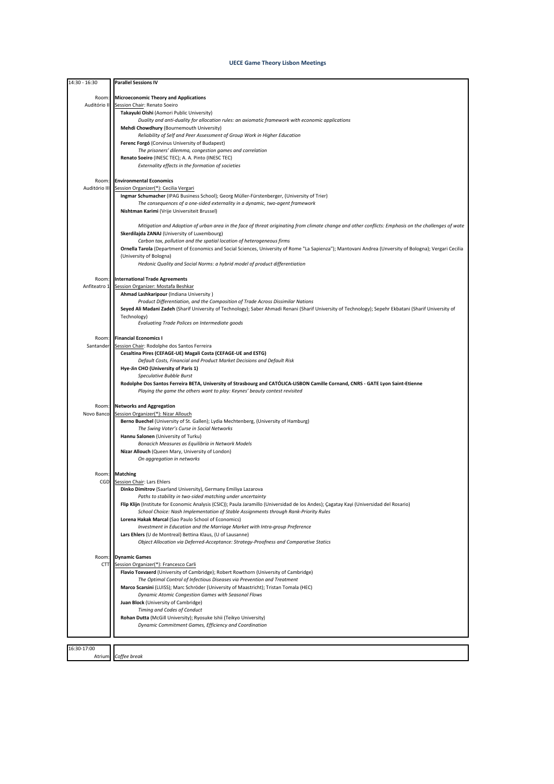| 14:30 - 16:30 | <b>Parallel Sessions IV</b>                                                                                                                                                                         |
|---------------|-----------------------------------------------------------------------------------------------------------------------------------------------------------------------------------------------------|
| Room:         | <b>Microeconomic Theory and Applications</b>                                                                                                                                                        |
| Auditório II  | Session Chair: Renato Soeiro                                                                                                                                                                        |
|               | Takayuki Oishi (Aomori Public University)                                                                                                                                                           |
|               | Duality and anti-duality for allocation rules: an axiomatic framework with economic applications<br>Mehdi Chowdhury (Bournemouth University)                                                        |
|               | Reliability of Self and Peer Assessment of Group Work in Higher Education                                                                                                                           |
|               | Ferenc Forgó (Corvinus University of Budapest)                                                                                                                                                      |
|               | The prisoners' dilemma, congestion games and correlation                                                                                                                                            |
|               | Renato Soeiro (INESC TEC); A. A. Pinto (INESC TEC)<br>Externality effects in the formation of societies                                                                                             |
|               |                                                                                                                                                                                                     |
| Room:         | <b>Environmental Economics</b>                                                                                                                                                                      |
| Auditório III | Session Organizer(*): Cecilia Vergari                                                                                                                                                               |
|               | Ingmar Schumacher (IPAG Business School); Georg Müller-Fürstenberger, (University of Trier)<br>The consequences of a one-sided externality in a dynamic, two-agent framework                        |
|               | Nishtman Karimi (Vrije Universiteit Brussel)                                                                                                                                                        |
|               |                                                                                                                                                                                                     |
|               | Mitigation and Adaption of urban area in the face of threat originating from climate change and other conflicts: Emphasis on the challenges of wate<br>Skerdilajda ZANAJ (University of Luxembourg) |
|               | Carbon tax, pollution and the spatial location of heterogeneous firms                                                                                                                               |
|               | Ornella Tarola (Department of Economics and Social Sciences, University of Rome "La Sapienza"); Mantovani Andrea (Unversity of Bologna); Vergari Cecilia                                            |
|               | (University of Bologna)                                                                                                                                                                             |
|               | Hedonic Quality and Social Norms: a hybrid model of product differentiation                                                                                                                         |
| Room:         | <b>International Trade Agreements</b>                                                                                                                                                               |
| Anfiteatro 1  | Session Organizer: Mostafa Beshkar                                                                                                                                                                  |
|               | Ahmad Lashkaripour (Indiana University)<br>Product Differentiation, and the Composition of Trade Across Dissimilar Nations                                                                          |
|               | Seyed Ali Madani Zadeh (Sharif University of Technology); Saber Ahmadi Renani (Sharif University of Technology); Sepehr Ekbatani (Sharif University of                                              |
|               | Technology)                                                                                                                                                                                         |
|               | Evaluating Trade Polices on Intermediate goods                                                                                                                                                      |
| Room:         | <b>Financial Economics I</b>                                                                                                                                                                        |
| Santander     | Session Chair: Rodolphe dos Santos Ferreira                                                                                                                                                         |
|               | Cesaltina Pires (CEFAGE-UE) Magali Costa (CEFAGE-UE and ESTG)<br>Default Costs, Financial and Product Market Decisions and Default Risk                                                             |
|               | Hye-Jin CHO (University of Paris 1)                                                                                                                                                                 |
|               | Speculative Bubble Burst                                                                                                                                                                            |
|               | Rodolphe Dos Santos Ferreira BETA, University of Strasbourg and CATÓLICA-LISBON Camille Cornand, CNRS - GATE Lyon Saint-Etienne                                                                     |
|               | Playing the game the others want to play: Keynes' beauty contest revisited                                                                                                                          |
| Room:         | <b>Networks and Aggregation</b>                                                                                                                                                                     |
| Novo Banco    | Session Organizer(*): Nizar Allouch                                                                                                                                                                 |
|               | Berno Buechel (University of St. Gallen); Lydia Mechtenberg, (University of Hamburg)<br>The Swing Voter's Curse in Social Networks                                                                  |
|               | Hannu Salonen (University of Turku)                                                                                                                                                                 |
|               | Bonacich Measures as Equilibria in Network Models                                                                                                                                                   |
|               | Nizar Allouch (Queen Mary, University of London)<br>On aggregation in networks                                                                                                                      |
|               |                                                                                                                                                                                                     |
| Room:         | <b>Matching</b>                                                                                                                                                                                     |
| CGD           | Session Chair: Lars Ehlers<br>Dinko Dimitrov (Saarland University), Germany Emiliya Lazarova                                                                                                        |
|               | Paths to stability in two-sided matching under uncertainty                                                                                                                                          |
|               | Flip Klijn (Institute for Economic Analysis (CSIC)); Paula Jaramillo (Universidad de los Andes); Çagatay Kayi (Universidad del Rosario)                                                             |
|               | School Choice: Nash Implementation of Stable Assignments through Rank-Priority Rules                                                                                                                |
|               | Lorena Hakak Marcal (Sao Paulo School of Economics)<br>Investment in Education and the Marriage Market with Intra-group Preference                                                                  |
|               | Lars Ehlers (U de Montreal) Bettina Klaus, (U of Lausanne)                                                                                                                                          |
|               | Object Allocation via Deferred-Acceptance: Strategy-Proofness and Comparative Statics                                                                                                               |
| Room:         | <b>Dynamic Games</b>                                                                                                                                                                                |
| <b>CTT</b>    | Session Organizer(*): Francesco Carli                                                                                                                                                               |
|               | Flavio Toxvaerd (University of Cambridge); Robert Rowthorn (University of Cambridge)                                                                                                                |
|               | The Optimal Control of Infectious Diseases via Prevention and Treatment<br>Marco Scarsini (LUISS); Marc Schröder (University of Maastricht); Tristan Tomala (HEC)                                   |
|               | Dynamic Atomic Congestion Games with Seasonal Flows                                                                                                                                                 |
|               | Juan Block (University of Cambridge)                                                                                                                                                                |
|               | Timing and Codes of Conduct                                                                                                                                                                         |
|               | Rohan Dutta (McGill University); Ryosuke Ishii (Teikyo University)<br>Dynamic Commitment Games, Efficiency and Coordination                                                                         |
|               |                                                                                                                                                                                                     |
| 16:30-17:00   |                                                                                                                                                                                                     |
| Atrium        | Coffee break                                                                                                                                                                                        |
|               |                                                                                                                                                                                                     |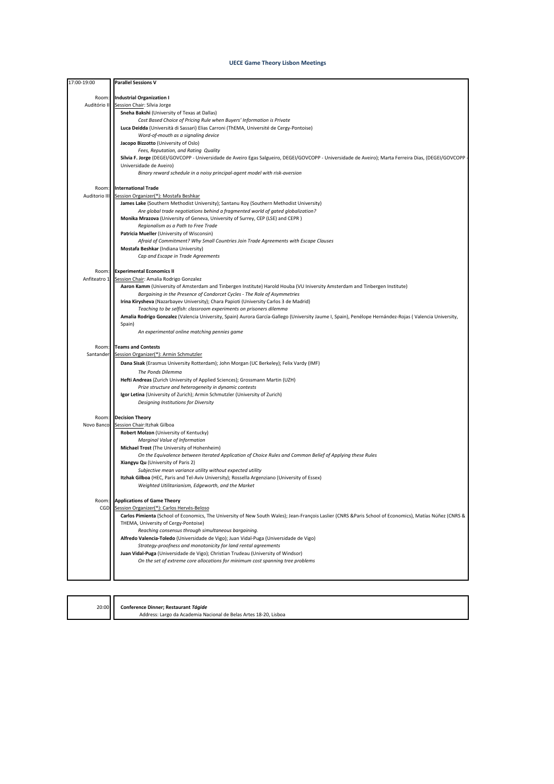| 17:00-19:00   | <b>Parallel Sessions V</b>                                                                                                                                 |
|---------------|------------------------------------------------------------------------------------------------------------------------------------------------------------|
| Room:         | <b>Industrial Organization I</b>                                                                                                                           |
| Auditório II  | Session Chair: Sílvia Jorge                                                                                                                                |
|               | Sneha Bakshi (University of Texas at Dallas)                                                                                                               |
|               | Cost Based Choice of Pricing Rule when Buyers' Information is Private                                                                                      |
|               | Luca Deidda (Università di Sassari) Elias Carroni (ThEMA, Université de Cergy-Pontoise)                                                                    |
|               | Word-of-mouth as a signaling device                                                                                                                        |
|               | Jacopo Bizzotto (University of Oslo)                                                                                                                       |
|               | Fees, Reputation, and Rating Quality                                                                                                                       |
|               | Sílvia F. Jorge (DEGEI/GOVCOPP - Universidade de Aveiro Egas Salgueiro, DEGEI/GOVCOPP - Universidade de Aveiro); Marta Ferreira Dias, (DEGEI/GOVCOPP       |
|               | Universidade de Aveiro)                                                                                                                                    |
|               | Binary reward schedule in a noisy principal-agent model with risk-aversion                                                                                 |
| Room:         | <b>International Trade</b>                                                                                                                                 |
| Auditorio III | Session Organizer(*): Mostafa Beshkar                                                                                                                      |
|               | James Lake (Southern Methodist University); Santanu Roy (Southern Methodist University)                                                                    |
|               | Are global trade negotiations behind a fragmented world of gated globalization?                                                                            |
|               | Monika Mrazova (University of Geneva, University of Surrey, CEP (LSE) and CEPR)                                                                            |
|               | Regionalism as a Path to Free Trade                                                                                                                        |
|               | Patricia Mueller (University of Wisconsin)                                                                                                                 |
|               | Afraid of Commitment? Why Small Countries Join Trade Agreements with Escape Clauses                                                                        |
|               | Mostafa Beshkar (Indiana University)                                                                                                                       |
|               | Cap and Escape in Trade Agreements                                                                                                                         |
|               |                                                                                                                                                            |
| Room:         | <b>Experimental Economics II</b>                                                                                                                           |
| Anfiteatro 1  | Session Chair: Amalia Rodrigo Gonzalez                                                                                                                     |
|               | Aaron Kamm (University of Amsterdam and Tinbergen Institute) Harold Houba (VU Iniversity Amsterdam and Tinbergen Institute)                                |
|               | Bargaining in the Presence of Condorcet Cycles - The Role of Asymmetries                                                                                   |
|               | Irina Kirysheva (Nazarbayev University); Chara Papioti (University Carlos 3 de Madrid)                                                                     |
|               | Teaching to be selfish: classroom experiments on prisoners dilemma                                                                                         |
|               | Amalia Rodrigo Gonzalez (Valencia University, Spain) Aurora García-Gallego (University Jaume I, Spain), Penélope Hernández-Rojas (Valencia University,     |
|               | Spain)<br>An experimental online matching pennies game                                                                                                     |
|               |                                                                                                                                                            |
| Room:         | <b>Teams and Contests</b>                                                                                                                                  |
| Santander     | Session Organizer(*): Armin Schmutzler                                                                                                                     |
|               | Dana Sisak (Erasmus University Rotterdam); John Morgan (UC Berkeley); Felix Vardy (IMF)                                                                    |
|               | The Ponds Dilemma                                                                                                                                          |
|               | Hefti Andreas (Zurich University of Applied Sciences); Grossmann Martin (UZH)                                                                              |
|               | Prize structure and heterogeneity in dynamic contests                                                                                                      |
|               | Igor Letina (University of Zurich); Armin Schmutzler (University of Zurich)                                                                                |
|               | Designing Institutions for Diversity                                                                                                                       |
|               |                                                                                                                                                            |
| Room:         | <b>Decision Theory</b>                                                                                                                                     |
| Novo Banco    | Session Chair: Itzhak Gilboa                                                                                                                               |
|               | Robert Molzon (University of Kentucky)                                                                                                                     |
|               | Marginal Value of Information                                                                                                                              |
|               | Michael Trost (The University of Hohenheim)                                                                                                                |
|               | On the Equivalence between Iterated Application of Choice Rules and Common Belief of Applying these Rules                                                  |
|               | Xiangyu Qu (University of Paris 2)                                                                                                                         |
|               | Subjective mean variance utility without expected utility<br>Itzhak Gilboa (HEC, Paris and Tel-Aviv University); Rossella Argenziano (University of Essex) |
|               | Weighted Utilitarianism, Edgeworth, and the Market                                                                                                         |
|               |                                                                                                                                                            |
| Room:         | <b>Applications of Game Theory</b>                                                                                                                         |
| CGD           | Session Organizer(*): Carlos Hervés-Beloso                                                                                                                 |
|               | Carlos Pimienta (School of Economics, The University of New South Wales); Jean-François Laslier (CNRS &Paris School of Economics), Matías Núñez (CNRS &    |
|               | THEMA, University of Cergy-Pontoise)                                                                                                                       |
|               | Reaching consensus through simultaneous bargaining.                                                                                                        |
|               | Alfredo Valencia-Toledo (Universidade de Vigo); Juan Vidal-Puga (Universidade de Vigo)                                                                     |
|               | Strategy-proofness and monotonicity for land rental agreements                                                                                             |
|               | Juan Vidal-Puga (Universidade de Vigo); Christian Trudeau (University of Windsor)                                                                          |
|               | On the set of extreme core allocations for minimum cost spanning tree problems                                                                             |
|               |                                                                                                                                                            |
|               |                                                                                                                                                            |

20:00 **Conference Dinner; Restaurant Tágide** Address: Largo da Academia Nacional de Belas Artes 18-20, Lisboa